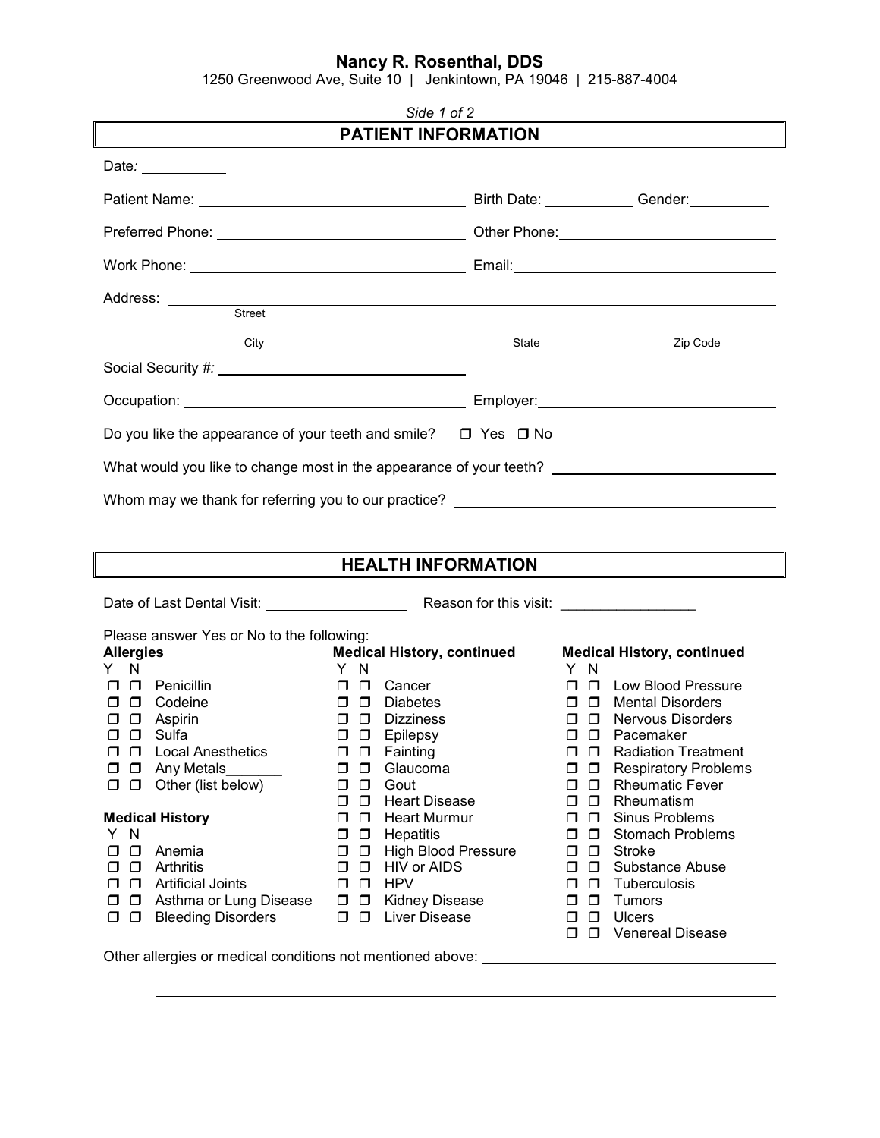## **Nancy R. Rosenthal, DDS**

1250 Greenwood Ave, Suite 10 | Jenkintown, PA 19046 | 215-887-4004

| Side 1 of 2                                                                                                                                                                                                                                                                                                                                                                                                             |                                                                                                                                                                                                                                                                                                                                                                                                                                                                                     |       |                                                                                                                                                                                                                                                                                                                                                                                                                                                                                                                                                                                  |  |
|-------------------------------------------------------------------------------------------------------------------------------------------------------------------------------------------------------------------------------------------------------------------------------------------------------------------------------------------------------------------------------------------------------------------------|-------------------------------------------------------------------------------------------------------------------------------------------------------------------------------------------------------------------------------------------------------------------------------------------------------------------------------------------------------------------------------------------------------------------------------------------------------------------------------------|-------|----------------------------------------------------------------------------------------------------------------------------------------------------------------------------------------------------------------------------------------------------------------------------------------------------------------------------------------------------------------------------------------------------------------------------------------------------------------------------------------------------------------------------------------------------------------------------------|--|
|                                                                                                                                                                                                                                                                                                                                                                                                                         | <b>PATIENT INFORMATION</b>                                                                                                                                                                                                                                                                                                                                                                                                                                                          |       |                                                                                                                                                                                                                                                                                                                                                                                                                                                                                                                                                                                  |  |
| Date: $\frac{1}{2}$                                                                                                                                                                                                                                                                                                                                                                                                     |                                                                                                                                                                                                                                                                                                                                                                                                                                                                                     |       |                                                                                                                                                                                                                                                                                                                                                                                                                                                                                                                                                                                  |  |
|                                                                                                                                                                                                                                                                                                                                                                                                                         |                                                                                                                                                                                                                                                                                                                                                                                                                                                                                     |       |                                                                                                                                                                                                                                                                                                                                                                                                                                                                                                                                                                                  |  |
|                                                                                                                                                                                                                                                                                                                                                                                                                         |                                                                                                                                                                                                                                                                                                                                                                                                                                                                                     |       |                                                                                                                                                                                                                                                                                                                                                                                                                                                                                                                                                                                  |  |
|                                                                                                                                                                                                                                                                                                                                                                                                                         |                                                                                                                                                                                                                                                                                                                                                                                                                                                                                     |       |                                                                                                                                                                                                                                                                                                                                                                                                                                                                                                                                                                                  |  |
| Address: Street                                                                                                                                                                                                                                                                                                                                                                                                         |                                                                                                                                                                                                                                                                                                                                                                                                                                                                                     |       |                                                                                                                                                                                                                                                                                                                                                                                                                                                                                                                                                                                  |  |
| <b>City</b>                                                                                                                                                                                                                                                                                                                                                                                                             |                                                                                                                                                                                                                                                                                                                                                                                                                                                                                     | State | Zip Code                                                                                                                                                                                                                                                                                                                                                                                                                                                                                                                                                                         |  |
|                                                                                                                                                                                                                                                                                                                                                                                                                         |                                                                                                                                                                                                                                                                                                                                                                                                                                                                                     |       |                                                                                                                                                                                                                                                                                                                                                                                                                                                                                                                                                                                  |  |
|                                                                                                                                                                                                                                                                                                                                                                                                                         |                                                                                                                                                                                                                                                                                                                                                                                                                                                                                     |       |                                                                                                                                                                                                                                                                                                                                                                                                                                                                                                                                                                                  |  |
| Do you like the appearance of your teeth and smile? $\Box$ Yes $\Box$ No                                                                                                                                                                                                                                                                                                                                                |                                                                                                                                                                                                                                                                                                                                                                                                                                                                                     |       |                                                                                                                                                                                                                                                                                                                                                                                                                                                                                                                                                                                  |  |
| What would you like to change most in the appearance of your teeth? ________________________________                                                                                                                                                                                                                                                                                                                    |                                                                                                                                                                                                                                                                                                                                                                                                                                                                                     |       |                                                                                                                                                                                                                                                                                                                                                                                                                                                                                                                                                                                  |  |
| Whom may we thank for referring you to our practice? ____________________________                                                                                                                                                                                                                                                                                                                                       |                                                                                                                                                                                                                                                                                                                                                                                                                                                                                     |       |                                                                                                                                                                                                                                                                                                                                                                                                                                                                                                                                                                                  |  |
|                                                                                                                                                                                                                                                                                                                                                                                                                         |                                                                                                                                                                                                                                                                                                                                                                                                                                                                                     |       |                                                                                                                                                                                                                                                                                                                                                                                                                                                                                                                                                                                  |  |
|                                                                                                                                                                                                                                                                                                                                                                                                                         | <b>HEALTH INFORMATION</b>                                                                                                                                                                                                                                                                                                                                                                                                                                                           |       |                                                                                                                                                                                                                                                                                                                                                                                                                                                                                                                                                                                  |  |
|                                                                                                                                                                                                                                                                                                                                                                                                                         |                                                                                                                                                                                                                                                                                                                                                                                                                                                                                     |       |                                                                                                                                                                                                                                                                                                                                                                                                                                                                                                                                                                                  |  |
|                                                                                                                                                                                                                                                                                                                                                                                                                         |                                                                                                                                                                                                                                                                                                                                                                                                                                                                                     |       |                                                                                                                                                                                                                                                                                                                                                                                                                                                                                                                                                                                  |  |
| Please answer Yes or No to the following:<br><b>Allergies</b><br>Y N                                                                                                                                                                                                                                                                                                                                                    | <b>Medical History, continued</b><br>Y N                                                                                                                                                                                                                                                                                                                                                                                                                                            |       | <b>Medical History, continued</b><br>Y N                                                                                                                                                                                                                                                                                                                                                                                                                                                                                                                                         |  |
| $\Box$ $\Box$ Penicillin<br>D Codeine<br>П.<br>$\Box$ Aspirin<br>□<br>$\Box$ $\Box$ Sulfa<br>$\Box$<br><b>Local Anesthetics</b><br>□<br>Any Metals<br>$\Box$<br>□<br>Other (list below)<br>$\Box$<br>0<br><b>Medical History</b><br>Y N<br>$\Box$<br>Anemia<br>◻<br>Arthritis<br>$\Box$<br>◻<br><b>Artificial Joints</b><br>$\Box$<br>◻<br>Asthma or Lung Disease<br>□<br>◻<br>$\Box$<br><b>Bleeding Disorders</b><br>◻ | $\Box$ $\Box$ Cancer<br>$\Box$ $\Box$ Diabetes<br><b>Dizziness</b><br>0 D J<br>$\Box$ $\Box$ Epilepsy<br><b>D</b> Fainting<br>□<br>$\Box$<br>Glaucoma<br>◻<br>$\Box$<br>Gout<br>◻<br><b>Heart Disease</b><br>◻<br>□<br><b>Heart Murmur</b><br>◻<br>□<br><b>Hepatitis</b><br>$\Box$<br>◻<br><b>High Blood Pressure</b><br>Ο<br>$\Box$<br><b>HIV or AIDS</b><br>$\Box$<br>□<br><b>HPV</b><br>$\Box$<br>◻<br>Kidney Disease<br>$\Box$<br>$\Box$<br><b>Liver Disease</b><br>$\Box$<br>◻ |       | $\Box$ $\Box$ Low Blood Pressure<br>$\Box$ $\Box$ Mental Disorders<br>$\Box$ $\Box$ Nervous Disorders<br>□ □ Pacemaker<br>$\Box$<br><b>Radiation Treatment</b><br>σ.<br><b>Respiratory Problems</b><br>$\Box$<br>□<br><b>Rheumatic Fever</b><br>$\Box$<br>$\Box$<br>Rheumatism<br>0<br>$\Box$<br>Sinus Problems<br>0<br>$\Box$<br><b>Stomach Problems</b><br>□<br>□<br>$\Box$<br><b>Stroke</b><br>0<br>$\Box$<br>Substance Abuse<br>□<br><b>Tuberculosis</b><br>□<br>□<br><b>Tumors</b><br>$\Box$<br>◻<br>$\Box$<br><b>Ulcers</b><br>◻<br>$\Box$<br><b>Venereal Disease</b><br>□ |  |

Other allergies or medical conditions not mentioned above: